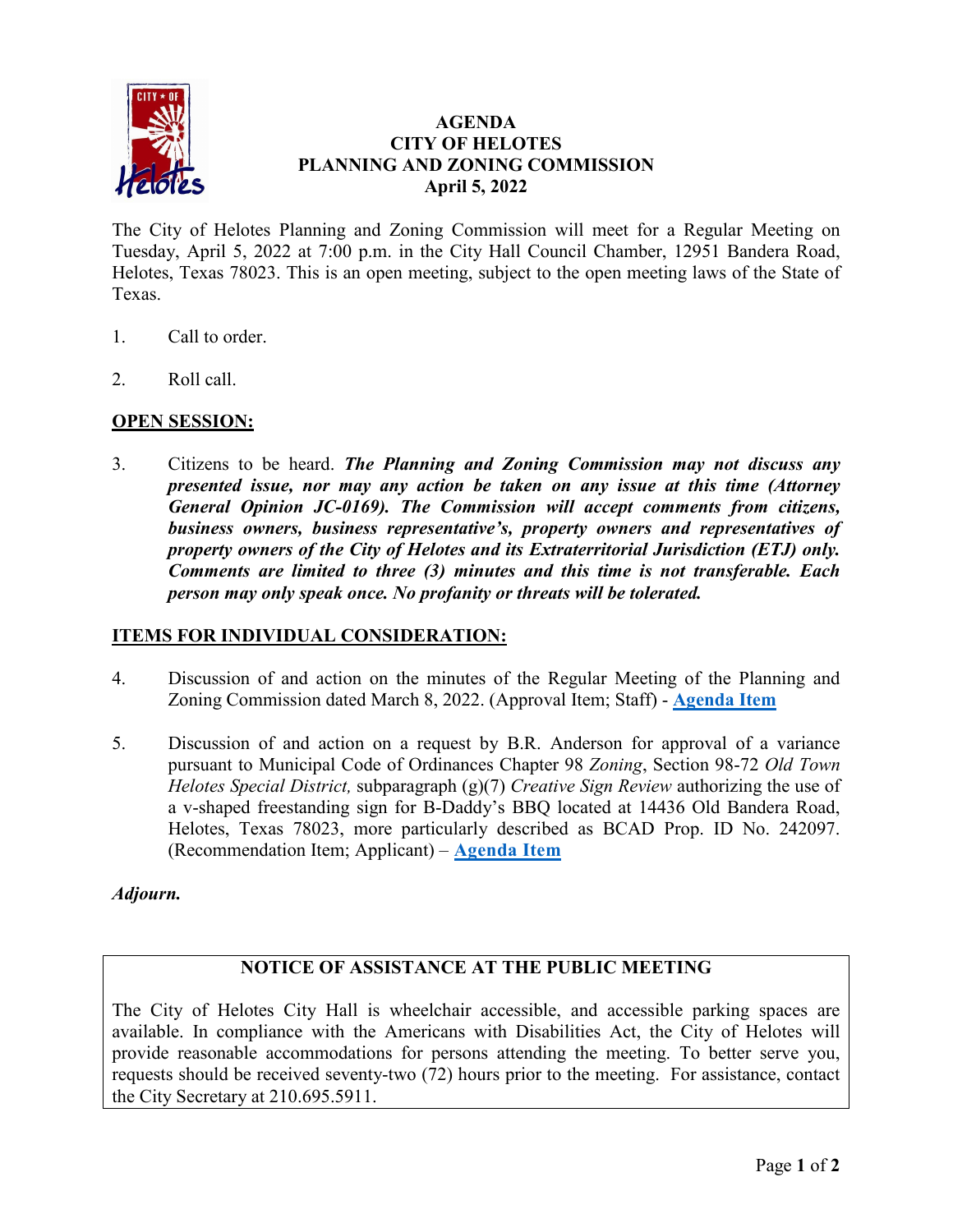

## **AGENDA CITY OF HELOTES PLANNING AND ZONING COMMISSION April 5, 2022**

The City of Helotes Planning and Zoning Commission will meet for a Regular Meeting on Tuesday, April 5, 2022 at 7:00 p.m. in the City Hall Council Chamber, 12951 Bandera Road, Helotes, Texas 78023. This is an open meeting, subject to the open meeting laws of the State of Texas.

- 1. Call to order.
- 2. Roll call.

## **OPEN SESSION:**

3. Citizens to be heard. *The Planning and Zoning Commission may not discuss any presented issue, nor may any action be taken on any issue at this time (Attorney General Opinion JC-0169). The Commission will accept comments from citizens, business owners, business representative's, property owners and representatives of property owners of the City of Helotes and its Extraterritorial Jurisdiction (ETJ) only. Comments are limited to three (3) minutes and this time is not transferable. Each person may only speak once. No profanity or threats will be tolerated.*

#### **ITEMS FOR INDIVIDUAL CONSIDERATION:**

- 4. Discussion of and action on the minutes of the Regular Meeting of the Planning and Zoning Commission dated March 8, 2022. (Approval Item; Staff) - **[Agenda Item](https://helotes-tx.gov/wp-content/uploads/2022/04/03-08-2022-PZ-Min.pdf)**
- 5. Discussion of and action on a request by B.R. Anderson for approval of a variance pursuant to Municipal Code of Ordinances Chapter 98 *Zoning*, Section 98-72 *Old Town Helotes Special District,* subparagraph (g)(7) *Creative Sign Review* authorizing the use of a v-shaped freestanding sign for B-Daddy's BBQ located at 14436 Old Bandera Road, Helotes, Texas 78023, more particularly described as BCAD Prop. ID No. 242097. (Recommendation Item; Applicant) – **[Agenda Item](https://helotes-tx.gov/wp-content/uploads/2022/04/04.05.22-PZ-Item-6-B-Daddys-packet.pdf)**

#### *Adjourn.*

# **NOTICE OF ASSISTANCE AT THE PUBLIC MEETING**

The City of Helotes City Hall is wheelchair accessible, and accessible parking spaces are available. In compliance with the Americans with Disabilities Act, the City of Helotes will provide reasonable accommodations for persons attending the meeting. To better serve you, requests should be received seventy-two (72) hours prior to the meeting. For assistance, contact the City Secretary at 210.695.5911.